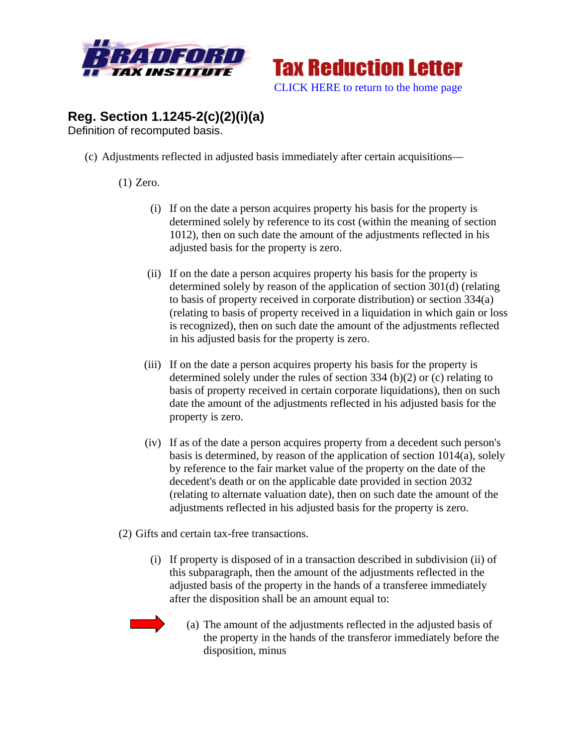



## **Reg. Section 1.1245-2(c)(2)(i)(a)**

Definition of recomputed basis.

(c) Adjustments reflected in adjusted basis immediately after certain acquisitions—

## (1) Zero.

- (i) If on the date a person acquires property his basis for the property is determined solely by reference to its cost (within the meaning of section 1012), then on such date the amount of the adjustments reflected in his adjusted basis for the property is zero.
- (ii) If on the date a person acquires property his basis for the property is determined solely by reason of the application of section 301(d) (relating to basis of property received in corporate distribution) or section 334(a) (relating to basis of property received in a liquidation in which gain or loss is recognized), then on such date the amount of the adjustments reflected in his adjusted basis for the property is zero.
- (iii) If on the date a person acquires property his basis for the property is determined solely under the rules of section 334 (b)(2) or (c) relating to basis of property received in certain corporate liquidations), then on such date the amount of the adjustments reflected in his adjusted basis for the property is zero.
- (iv) If as of the date a person acquires property from a decedent such person's basis is determined, by reason of the application of section 1014(a), solely by reference to the fair market value of the property on the date of the decedent's death or on the applicable date provided in section 2032 (relating to alternate valuation date), then on such date the amount of the adjustments reflected in his adjusted basis for the property is zero.

(2) Gifts and certain tax-free transactions.

(i) If property is disposed of in a transaction described in subdivision (ii) of this subparagraph, then the amount of the adjustments reflected in the adjusted basis of the property in the hands of a transferee immediately after the disposition shall be an amount equal to:



(a) The amount of the adjustments reflected in the adjusted basis of the property in the hands of the transferor immediately before the disposition, minus